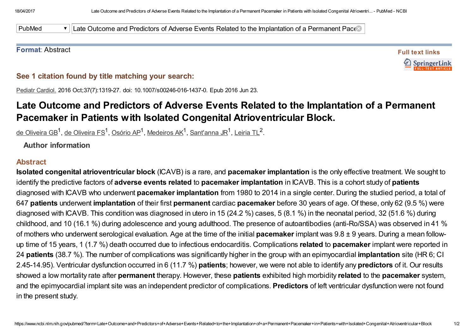PubMed **V** Late Outcome and Predictors of Adverse Events Related to the Implantation of a Permanent Pace

## Format: Abstract

Full text links SpringerLink

See 1 citation found by title matching your search:

Pediatr Cardiol. 2016 Oct;37(7):1319-27. doi: 10.1007/s00246-016-1437-0. Epub 2016 Jun 23.

## Late Outcome and Predictors of Adverse Events Related to the Implantation of a Permanent Pacemaker in Patients with Isolated Congenital Atrioventricular Block.

<u>de [Oliveira](https://www.ncbi.nlm.nih.gov/pubmed/?term=de%20Oliveira%20FS%5BAuthor%5D&cauthor=true&cauthor_uid=27335082) GB<sup>1</sup>, de Oliveira FS<sup>1</sup>, [Osório](https://www.ncbi.nlm.nih.gov/pubmed/?term=Os%C3%B3rio%20AP%5BAuthor%5D&cauthor=true&cauthor_uid=27335082) AP<sup>1</sup>, [Medeiros](https://www.ncbi.nlm.nih.gov/pubmed/?term=Medeiros%20AK%5BAuthor%5D&cauthor=true&cauthor_uid=27335082) AK<sup>1</sup>, <u>[Sant'anna](https://www.ncbi.nlm.nih.gov/pubmed/?term=Sant%27anna%20JR%5BAuthor%5D&cauthor=true&cauthor_uid=27335082) JR<sup>1</sup>, [Leiria](https://www.ncbi.nlm.nih.gov/pubmed/?term=Leiria%20TL%5BAuthor%5D&cauthor=true&cauthor_uid=27335082) TL</u><sup>2</sup>.</u>

Author information

## Abstract

Isolated congenital atrioventricular block (ICAVB) is a rare, and pacemaker implantation is the only effective treatment. We sought to identify the predictive factors of adverse events related to pacemaker implantation in ICAVB. This is a cohort study of patients diagnosed with ICAVB who underwent pacemaker implantation from 1980 to 2014 in a single center. During the studied period, a total of 647 patients underwent implantation of their first permanent cardiac pacemaker before 30 years of age. Of these, only 62 (9.5 %) were diagnosed with ICAVB. This condition was diagnosed in utero in 15 (24.2 %) cases, 5 (8.1 %) in the neonatal period, 32 (51.6 %) during childhood, and 10 (16.1 %) during adolescence and young adulthood. The presence of autoantibodies (anti-Ro/SSA) was observed in 41 % of mothers who underwent serological evaluation. Age at the time of the initial **pacemaker** implant was  $9.8 \pm 9$  years. During a mean followup time of 15 years, 1 (1.7 %) death occurred due to infectious endocarditis. Complications related to pacemaker implant were reported in 24 patients (38.7 %). The number of complications was significantly higher in the group with an epimyocardial implantation site (HR 6; CI 2.45-14.95). Ventricular dysfunction occurred in 6 (11.7 %) patients; however, we were not able to identify any predictors of it. Our results showed a low mortality rate after **permanent** therapy. However, these **patients** exhibited high morbidity related to the **pacemaker** system, and the epimyocardial implant site was an independent predictor of complications. Predictors of left ventricular dysfunction were not found in the present study.